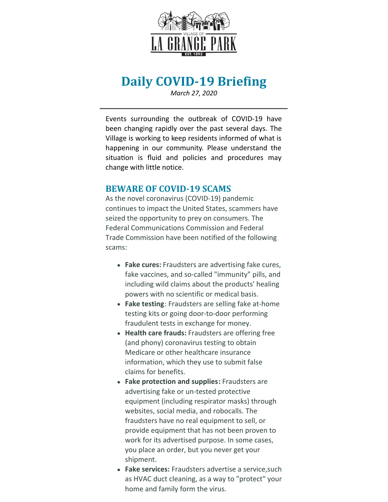

# **Daily COVID-19 Briefing**

*March 27, 2020*

Events surrounding the outbreak of COVID-19 have been changing rapidly over the past several days. The Village is working to keep residents informed of what is happening in our community. Please understand the situation is fluid and policies and procedures may change with little notice.

#### **BEWARE OF COVID-19 SCAMS**

As the novel coronavirus (COVID-19) pandemic continues to impact the United States, scammers have seized the opportunity to prey on consumers. The Federal Communications Commission and Federal Trade Commission have been notified of the following scams:

- **Fake cures:** Fraudsters are advertising fake cures, fake vaccines, and so-called "immunity" pills, and including wild claims about the products' healing powers with no scientific or medical basis.
- **Fake testing**: Fraudsters are selling fake at-home testing kits or going door-to-door performing fraudulent tests in exchange for money.
- **Health care frauds:** Fraudsters are offering free (and phony) coronavirus testing to obtain Medicare or other healthcare insurance information, which they use to submit false claims for benefits.
- **Fake protection and supplies:** Fraudsters are advertising fake or un-tested protective equipment (including respirator masks) through websites, social media, and robocalls. The fraudsters have no real equipment to sell, or provide equipment that has not been proven to work for its advertised purpose. In some cases, you place an order, but you never get your shipment.
- **Fake services:** Fraudsters advertise a service,such as HVAC duct cleaning, as a way to "protect" your home and family form the virus.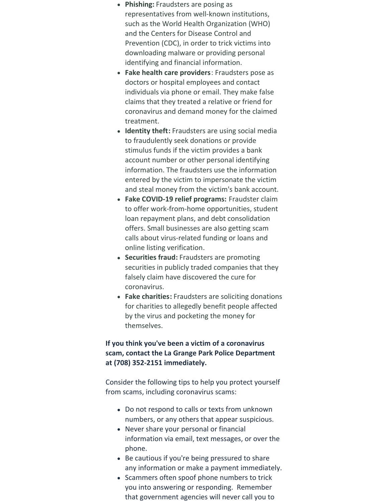- **Phishing:** Fraudsters are posing as representatives from well-known institutions, such as the World Health Organization (WHO) and the Centers for Disease Control and Prevention (CDC), in order to trick victims into downloading malware or providing personal identifying and financial information.
- **Fake health care providers**: Fraudsters pose as doctors or hospital employees and contact individuals via phone or email. They make false claims that they treated a relative or friend for coronavirus and demand money for the claimed treatment.
- **Identity theft:** Fraudsters are using social media to fraudulently seek donations or provide stimulus funds if the victim provides a bank account number or other personal identifying information. The fraudsters use the information entered by the victim to impersonate the victim and steal money from the victim's bank account.
- **Fake COVID-19 relief programs:** Fraudster claim to offer work-from-home opportunities, student loan repayment plans, and debt consolidation offers. Small businesses are also getting scam calls about virus-related funding or loans and online listing verification.
- **Securities fraud:** Fraudsters are promoting securities in publicly traded companies that they falsely claim have discovered the cure for coronavirus.
- **Fake charities:** Fraudsters are soliciting donations for charities to allegedly benefit people affected by the virus and pocketing the money for themselves.

#### **If you think you've been a victim of a coronavirus scam, contact the La Grange Park Police Department at (708) 352-2151 immediately.**

Consider the following tips to help you protect yourself from scams, including coronavirus scams:

- Do not respond to calls or texts from unknown numbers, or any others that appear suspicious.
- Never share your personal or financial information via email, text messages, or over the phone.
- Be cautious if you're being pressured to share any information or make a payment immediately.
- Scammers often spoof phone numbers to trick you into answering or responding. Remember that government agencies will never call you to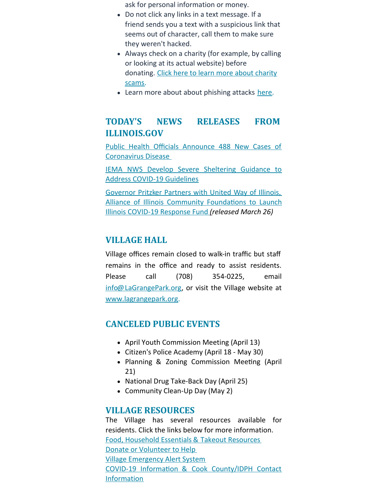ask for personal information or money.

- Do not click any links in a text message. If a friend sends you a text with a suspicious link that seems out of character, call them to make sure they weren't hacked.
- Always check on a charity (for example, by calling or looking at its actual website) before [donating.](https://www.fcc.gov/scam-charities-will-take-your-money-and-run) Click here to learn more about charity scams.
- Learn more about about phishing attacks [here](https://www.consumer.ftc.gov/articles/how-recognize-and-avoid-phishing-scams).

## **TODAY'S NEWS RELEASES FROM ILLINOIS.GOV**

Public Health Officials Announce 488 New Cases of [Coronavirus](https://www2.illinois.gov/Pages/news-item.aspx?ReleaseID=21313) Disease

IEMA NWS Develop Severe [Sheltering](https://www2.illinois.gov/Pages/news-item.aspx?ReleaseID=21311) Guidance to Address COVID-19 Guidelines

Governor Pritzker Partners with United Way of Illinois, Alliance of Illinois Community Foundations to Launch Illinois COVID-19 Response Fund *(released March 26)*

### **VILLAGE HALL**

Village offices remain closed to walk-in traffic but staff remains in the office and ready to assist residents. Please call (708) 354-0225, email [info@LaGrangePark.org](mailto:info@LaGrangePark.org), or visit the Village website at [www.lagrangepark.org](http://www.lagrangepark.org.).

#### **CANCELED PUBLIC EVENTS**

- April Youth Commission Meeting (April 13)
- Citizen's Police Academy (April 18 May 30)
- Planning & Zoning Commission Meeting (April 21)
- National Drug Take-Back Day (April 25)
- Community Clean-Up Day (May 2)

#### **VILLAGE RESOURCES**

The Village has several resources available for residents. Click the links below for more information. Food, [Household](http://www.lagrangepark.org/CivicAlerts.aspx?AID=194) Essentials & Takeout Resources Donate or [Volunteer](http://www.lagrangepark.org/CivicAlerts.aspx?AID=194) to Help Village [Emergency](http://www.lagrangepark.org/202/Emergency-Notifications) Alert System COVID-19 Information & Cook [County/IDPH](http://www.lagrangepark.org/505/Coronavirus-COVID-19#liveEditTab_propertiesTab) Contact Information